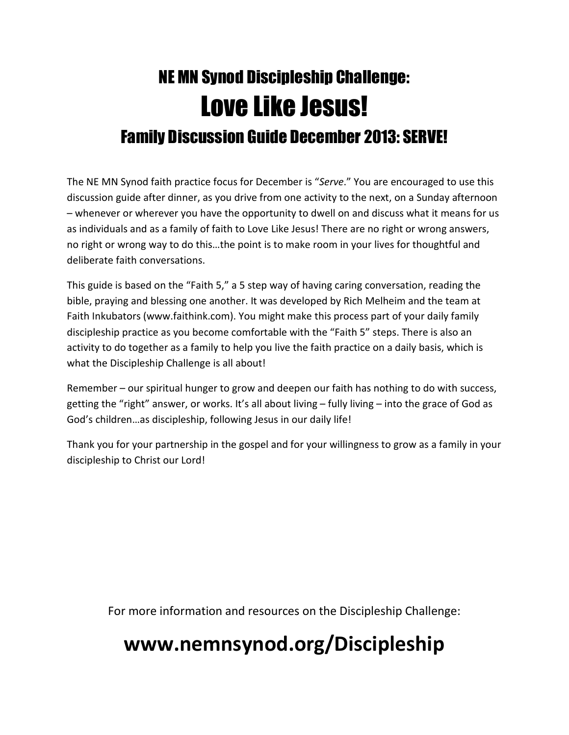# NE MN Synod Discipleship Challenge: Love Like Jesus! Family Discussion Guide December 2013: SERVE!

The NE MN Synod faith practice focus for December is "Serve." You are encouraged to use this discussion guide after dinner, as you drive from one activity to the next, on a Sunday afternoon – whenever or wherever you have the opportunity to dwell on and discuss what it means for us as individuals and as a family of faith to Love Like Jesus! There are no right or wrong answers, no right or wrong way to do this…the point is to make room in your lives for thoughtful and deliberate faith conversations.

This guide is based on the "Faith 5," a 5 step way of having caring conversation, reading the bible, praying and blessing one another. It was developed by Rich Melheim and the team at Faith Inkubators (www.faithink.com). You might make this process part of your daily family discipleship practice as you become comfortable with the "Faith 5" steps. There is also an activity to do together as a family to help you live the faith practice on a daily basis, which is what the Discipleship Challenge is all about!

Remember – our spiritual hunger to grow and deepen our faith has nothing to do with success, getting the "right" answer, or works. It's all about living – fully living – into the grace of God as God's children…as discipleship, following Jesus in our daily life!

Thank you for your partnership in the gospel and for your willingness to grow as a family in your discipleship to Christ our Lord!

For more information and resources on the Discipleship Challenge:

## www.nemnsynod.org/Discipleship